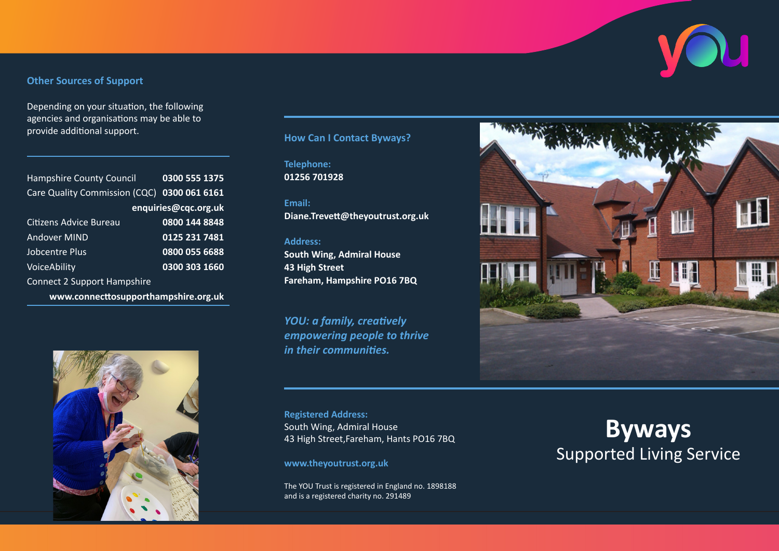# **Other Sources of Support**

Depending on your situation, the following agencies and organisations may be able to provide additional support. **How Can I Contact Byways?**

| <b>Hampshire County Council</b><br>Care Quality Commission (CQC) | 0300 555 1375<br>0300 061 6161 |
|------------------------------------------------------------------|--------------------------------|
| enquiries@cqc.org.uk                                             |                                |
| Citizens Advice Bureau                                           | 0800 144 8848                  |
| <b>Andover MIND</b>                                              | 0125 231 7481                  |
| Jobcentre Plus                                                   | 0800 055 6688                  |
| VoiceAbility                                                     | 0300 303 1660                  |
| <b>Connect 2 Support Hampshire</b>                               |                                |
| www.connecttosupporthampshire.org.uk                             |                                |



**Telephone: 01256 701928**

**Email: Diane.Trevett@theyoutrust.org.uk**

#### **Address:**

**South Wing, Admiral House 43 High Street Fareham, Hampshire PO16 7BQ**

*YOU: a family, creatively empowering people to thrive in their communities.*

**Registered Address:** South Wing, Admiral House 43 High Street,Fareham, Hants PO16 7BQ

**www.theyoutrust.org.uk**

The YOU Trust is registered in England no. 1898188 and is a registered charity no. 291489



# **Byways** Supported Living Service